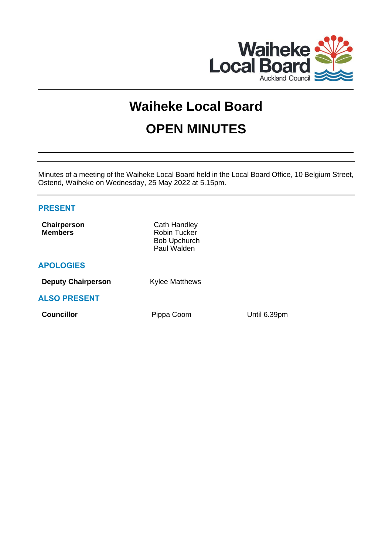

# **Waiheke Local Board OPEN MINUTES**

Minutes of a meeting of the Waiheke Local Board held in the Local Board Office, 10 Belgium Street, Ostend, Waiheke on Wednesday, 25 May 2022 at 5.15pm.

# **PRESENT**

| Chairperson<br><b>Members</b> | Cath Handley<br><b>Robin Tucker</b><br><b>Bob Upchurch</b><br>Paul Walden |              |
|-------------------------------|---------------------------------------------------------------------------|--------------|
| <b>APOLOGIES</b>              |                                                                           |              |
| <b>Deputy Chairperson</b>     | <b>Kylee Matthews</b>                                                     |              |
| <b>ALSO PRESENT</b>           |                                                                           |              |
| <b>Councillor</b>             | Pippa Coom                                                                | Until 6.39pm |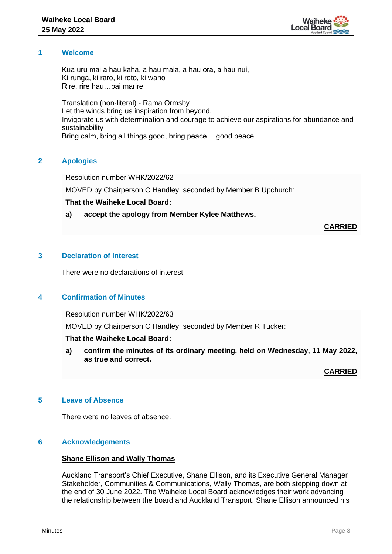

## **1 Welcome**

Kua uru mai a hau kaha, a hau maia, a hau ora, a hau nui, Ki runga, ki raro, ki roto, ki waho Rire, rire hau…pai marire

Translation (non-literal) - Rama Ormsby Let the winds bring us inspiration from beyond, Invigorate us with determination and courage to achieve our aspirations for abundance and sustainability Bring calm, bring all things good, bring peace… good peace.

# **2 Apologies**

Resolution number WHK/2022/62

MOVED by Chairperson C Handley, seconded by Member B Upchurch:

## **That the Waiheke Local Board:**

# **a) accept the apology from Member Kylee Matthews.**

**CARRIED**

# **3 Declaration of Interest**

There were no declarations of interest.

# **4 Confirmation of Minutes**

Resolution number WHK/2022/63

MOVED by Chairperson C Handley, seconded by Member R Tucker:

# **That the Waiheke Local Board:**

**a) confirm the minutes of its ordinary meeting, held on Wednesday, 11 May 2022, as true and correct.**

**CARRIED**

# **5 Leave of Absence**

There were no leaves of absence.

## **6 Acknowledgements**

#### **Shane Ellison and Wally Thomas**

Auckland Transport's Chief Executive, Shane Ellison, and its Executive General Manager Stakeholder, Communities & Communications, Wally Thomas, are both stepping down at the end of 30 June 2022. The Waiheke Local Board acknowledges their work advancing the relationship between the board and Auckland Transport. Shane Ellison announced his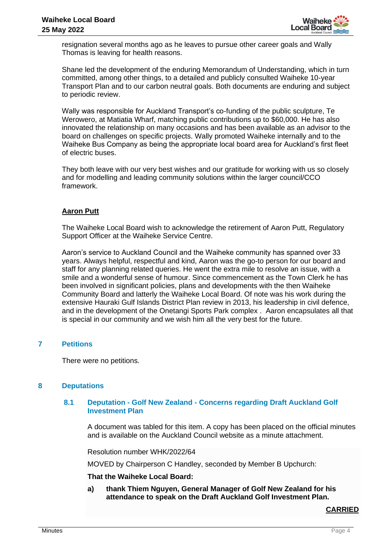

resignation several months ago as he leaves to pursue other career goals and Wally Thomas is leaving for health reasons.

Shane led the development of the enduring Memorandum of Understanding, which in turn committed, among other things, to a detailed and publicly consulted Waiheke 10-year Transport Plan and to our carbon neutral goals. Both documents are enduring and subject to periodic review.

Wally was responsible for Auckland Transport's co-funding of the public sculpture, Te Werowero, at Matiatia Wharf, matching public contributions up to \$60,000. He has also innovated the relationship on many occasions and has been available as an advisor to the board on challenges on specific projects. Wally promoted Waiheke internally and to the Waiheke Bus Company as being the appropriate local board area for Auckland's first fleet of electric buses.

They both leave with our very best wishes and our gratitude for working with us so closely and for modelling and leading community solutions within the larger council/CCO framework.

# **Aaron Putt**

The Waiheke Local Board wish to acknowledge the retirement of Aaron Putt, Regulatory Support Officer at the Waiheke Service Centre.

Aaron's service to Auckland Council and the Waiheke community has spanned over 33 years. Always helpful, respectful and kind, Aaron was the go-to person for our board and staff for any planning related queries. He went the extra mile to resolve an issue, with a smile and a wonderful sense of humour. Since commencement as the Town Clerk he has been involved in significant policies, plans and developments with the then Waiheke Community Board and latterly the Waiheke Local Board. Of note was his work during the extensive Hauraki Gulf Islands District Plan review in 2013, his leadership in civil defence, and in the development of the Onetangi Sports Park complex . Aaron encapsulates all that is special in our community and we wish him all the very best for the future.

# **7 Petitions**

There were no petitions.

# **8 Deputations**

## **8.1 Deputation - Golf New Zealand - Concerns regarding Draft Auckland Golf Investment Plan**

A document was tabled for this item. A copy has been placed on the official minutes and is available on the Auckland Council website as a minute attachment.

Resolution number WHK/2022/64

MOVED by Chairperson C Handley, seconded by Member B Upchurch:

#### **That the Waiheke Local Board:**

**a) thank Thiem Nguyen, General Manager of Golf New Zealand for his attendance to speak on the Draft Auckland Golf Investment Plan.**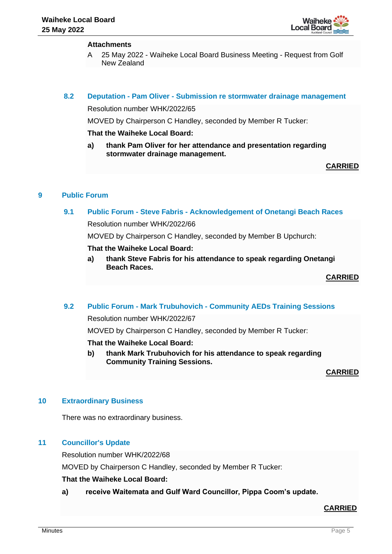

## **Attachments**

A 25 May 2022 - Waiheke Local Board Business Meeting - Request from Golf New Zealand

## **8.2 Deputation - Pam Oliver - Submission re stormwater drainage management**

Resolution number WHK/2022/65

MOVED by Chairperson C Handley, seconded by Member R Tucker:

## **That the Waiheke Local Board:**

**a) thank Pam Oliver for her attendance and presentation regarding stormwater drainage management.**

**CARRIED**

# **9 Public Forum**

# **9.1 Public Forum - Steve Fabris - Acknowledgement of Onetangi Beach Races**

Resolution number WHK/2022/66

MOVED by Chairperson C Handley, seconded by Member B Upchurch:

#### **That the Waiheke Local Board:**

**a) thank Steve Fabris for his attendance to speak regarding Onetangi Beach Races.**

**CARRIED**

# **9.2 Public Forum - Mark Trubuhovich - Community AEDs Training Sessions**

Resolution number WHK/2022/67

MOVED by Chairperson C Handley, seconded by Member R Tucker:

## **That the Waiheke Local Board:**

**b) thank Mark Trubuhovich for his attendance to speak regarding Community Training Sessions.**

**CARRIED**

#### **10 Extraordinary Business**

There was no extraordinary business.

# **11 Councillor's Update**

Resolution number WHK/2022/68

MOVED by Chairperson C Handley, seconded by Member R Tucker:

# **That the Waiheke Local Board:**

**a) receive Waitemata and Gulf Ward Councillor, Pippa Coom's update.**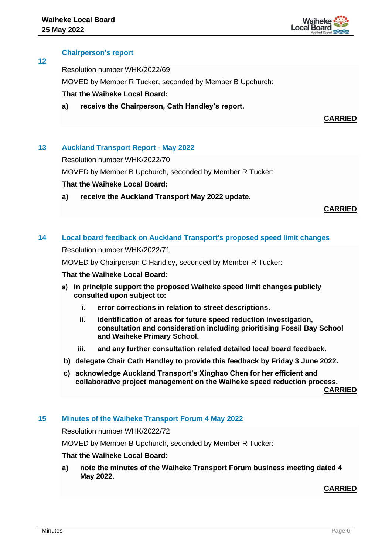

## **Chairperson's report**

**12**

Resolution number WHK/2022/69

MOVED by Member R Tucker, seconded by Member B Upchurch:

## **That the Waiheke Local Board:**

**a) receive the Chairperson, Cath Handley's report.**

# **CARRIED**

# **13 Auckland Transport Report - May 2022**

Resolution number WHK/2022/70

MOVED by Member B Upchurch, seconded by Member R Tucker:

## **That the Waiheke Local Board:**

**a) receive the Auckland Transport May 2022 update.**

#### **CARRIED**

## **14 Local board feedback on Auckland Transport's proposed speed limit changes**

Resolution number WHK/2022/71

MOVED by Chairperson C Handley, seconded by Member R Tucker:

#### **That the Waiheke Local Board:**

- **a) in principle support the proposed Waiheke speed limit changes publicly consulted upon subject to:**
	- **i. error corrections in relation to street descriptions.**
	- **ii. identification of areas for future speed reduction investigation, consultation and consideration including prioritising Fossil Bay School and Waiheke Primary School.**
	- **iii. and any further consultation related detailed local board feedback.**
- **b) delegate Chair Cath Handley to provide this feedback by Friday 3 June 2022.**
- **c) acknowledge Auckland Transport's Xinghao Chen for her efficient and collaborative project management on the Waiheke speed reduction process. CARRIED**

**15 Minutes of the Waiheke Transport Forum 4 May 2022**

Resolution number WHK/2022/72

MOVED by Member B Upchurch, seconded by Member R Tucker:

#### **That the Waiheke Local Board:**

**a) note the minutes of the Waiheke Transport Forum business meeting dated 4 May 2022.**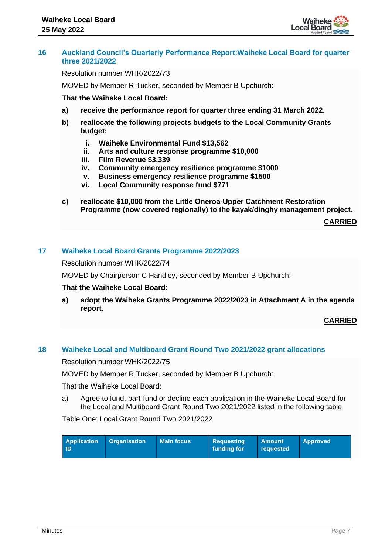

## **16 Auckland Council's Quarterly Performance Report:Waiheke Local Board for quarter three 2021/2022**

Resolution number WHK/2022/73

MOVED by Member R Tucker, seconded by Member B Upchurch:

**That the Waiheke Local Board:**

- **a) receive the performance report for quarter three ending 31 March 2022.**
- **b) reallocate the following projects budgets to the Local Community Grants budget:**
	- **i. Waiheke Environmental Fund \$13,562**
	- **ii. Arts and culture response programme \$10,000**
	- **iii. Film Revenue \$3,339**
	- **iv. Community emergency resilience programme \$1000**
	- **v. Business emergency resilience programme \$1500**
	- **vi. Local Community response fund \$771**
- **c) reallocate \$10,000 from the Little Oneroa-Upper Catchment Restoration Programme (now covered regionally) to the kayak/dinghy management project.**

**CARRIED**

# **17 Waiheke Local Board Grants Programme 2022/2023**

Resolution number WHK/2022/74

MOVED by Chairperson C Handley, seconded by Member B Upchurch:

#### **That the Waiheke Local Board:**

**a) adopt the Waiheke Grants Programme 2022/2023 in Attachment A in the agenda report.**

#### **CARRIED**

# **18 Waiheke Local and Multiboard Grant Round Two 2021/2022 grant allocations**

Resolution number WHK/2022/75

MOVED by Member R Tucker, seconded by Member B Upchurch:

That the Waiheke Local Board:

a) Agree to fund, part-fund or decline each application in the Waiheke Local Board for the Local and Multiboard Grant Round Two 2021/2022 listed in the following table

Table One: Local Grant Round Two 2021/2022

| <b>Application</b><br><b>Organisation</b><br>-ID | <b>Main focus</b> | <b>Requesting</b><br>funding for | <b>Amount</b><br>reauested | <b>Approved</b> |
|--------------------------------------------------|-------------------|----------------------------------|----------------------------|-----------------|
|--------------------------------------------------|-------------------|----------------------------------|----------------------------|-----------------|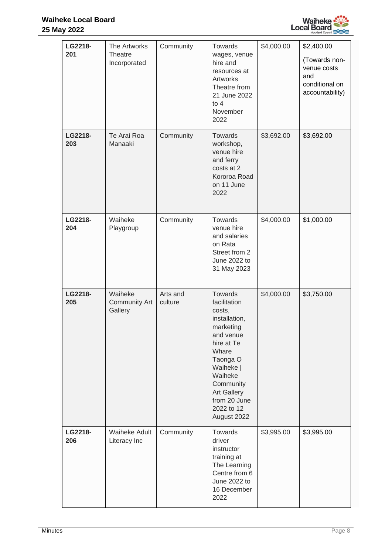

| LG2218-<br>201 | The Artworks<br>Theatre<br>Incorporated    | Community           | Towards<br>wages, venue<br>hire and<br>resources at<br>Artworks<br>Theatre from<br>21 June 2022<br>to $4$<br>November<br>2022                                                                                           | \$4,000.00 | \$2,400.00<br>(Towards non-<br>venue costs<br>and<br>conditional on<br>accountability) |
|----------------|--------------------------------------------|---------------------|-------------------------------------------------------------------------------------------------------------------------------------------------------------------------------------------------------------------------|------------|----------------------------------------------------------------------------------------|
| LG2218-<br>203 | Te Arai Roa<br>Manaaki                     | Community           | Towards<br>workshop,<br>venue hire<br>and ferry<br>costs at 2<br>Kororoa Road<br>on 11 June<br>2022                                                                                                                     | \$3,692.00 | \$3,692.00                                                                             |
| LG2218-<br>204 | Waiheke<br>Playgroup                       | Community           | Towards<br>venue hire<br>and salaries<br>on Rata<br>Street from 2<br>June 2022 to<br>31 May 2023                                                                                                                        | \$4,000.00 | \$1,000.00                                                                             |
| LG2218-<br>205 | Waiheke<br><b>Community Art</b><br>Gallery | Arts and<br>culture | Towards<br>facilitation<br>costs,<br>installation,<br>marketing<br>and venue<br>hire at Te<br>Whare<br>Taonga O<br>Waiheke  <br>Waiheke<br>Community<br><b>Art Gallery</b><br>from 20 June<br>2022 to 12<br>August 2022 | \$4,000.00 | \$3,750.00                                                                             |
| LG2218-<br>206 | <b>Waiheke Adult</b><br>Literacy Inc       | Community           | Towards<br>driver<br>instructor<br>training at<br>The Learning<br>Centre from 6<br>June 2022 to<br>16 December<br>2022                                                                                                  | \$3,995.00 | \$3,995.00                                                                             |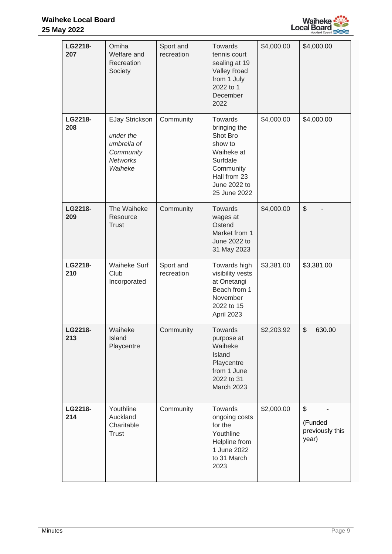

| LG2218-<br>207 | Omiha<br>Welfare and<br>Recreation<br>Society                                                | Sport and<br>recreation | <b>Towards</b><br>tennis court<br>sealing at 19<br><b>Valley Road</b><br>from 1 July<br>2022 to 1<br>December<br>2022                        | \$4,000.00 | \$4,000.00                                |
|----------------|----------------------------------------------------------------------------------------------|-------------------------|----------------------------------------------------------------------------------------------------------------------------------------------|------------|-------------------------------------------|
| LG2218-<br>208 | <b>EJay Strickson</b><br>under the<br>umbrella of<br>Community<br><b>Networks</b><br>Waiheke | Community               | <b>Towards</b><br>bringing the<br>Shot Bro<br>show to<br>Waiheke at<br>Surfdale<br>Community<br>Hall from 23<br>June 2022 to<br>25 June 2022 | \$4,000.00 | \$4,000.00                                |
| LG2218-<br>209 | The Waiheke<br>Resource<br><b>Trust</b>                                                      | Community               | Towards<br>wages at<br>Ostend<br>Market from 1<br>June 2022 to<br>31 May 2023                                                                | \$4,000.00 | \$                                        |
| LG2218-<br>210 | <b>Waiheke Surf</b><br>Club<br>Incorporated                                                  | Sport and<br>recreation | Towards high<br>visibility vests<br>at Onetangi<br>Beach from 1<br>November<br>2022 to 15<br>April 2023                                      | \$3,381.00 | \$3,381.00                                |
| LG2218-<br>213 | Waiheke<br>Island<br>Playcentre                                                              | Community               | Towards<br>purpose at<br>Waiheke<br>Island<br>Playcentre<br>from 1 June<br>2022 to 31<br>March 2023                                          | \$2,203.92 | \$<br>630.00                              |
| LG2218-<br>214 | Youthline<br>Auckland<br>Charitable<br>Trust                                                 | Community               | Towards<br>ongoing costs<br>for the<br>Youthline<br>Helpline from<br>1 June 2022<br>to 31 March<br>2023                                      | \$2,000.00 | \$<br>(Funded<br>previously this<br>year) |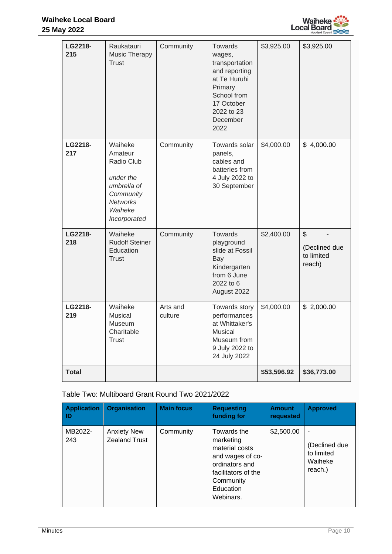

| LG2218-<br>215 | Raukatauri<br><b>Music Therapy</b><br><b>Trust</b>                                                                      | Community           | <b>Towards</b><br>wages,<br>transportation<br>and reporting<br>at Te Huruhi<br>Primary<br>School from<br>17 October<br>2022 to 23<br>December<br>2022 | \$3,925.00  | \$3,925.00                                              |
|----------------|-------------------------------------------------------------------------------------------------------------------------|---------------------|-------------------------------------------------------------------------------------------------------------------------------------------------------|-------------|---------------------------------------------------------|
| LG2218-<br>217 | Waiheke<br>Amateur<br>Radio Club<br>under the<br>umbrella of<br>Community<br><b>Networks</b><br>Waiheke<br>Incorporated | Community           | Towards solar<br>panels,<br>cables and<br>batteries from<br>4 July 2022 to<br>30 September                                                            | \$4,000.00  | \$4,000.00                                              |
| LG2218-<br>218 | Waiheke<br><b>Rudolf Steiner</b><br>Education<br>Trust                                                                  | Community           | Towards<br>playground<br>slide at Fossil<br>Bay<br>Kindergarten<br>from 6 June<br>2022 to 6<br>August 2022                                            | \$2,400.00  | $\mathfrak{S}$<br>(Declined due<br>to limited<br>reach) |
| LG2218-<br>219 | Waiheke<br><b>Musical</b><br>Museum<br>Charitable<br><b>Trust</b>                                                       | Arts and<br>culture | Towards story<br>performances<br>at Whittaker's<br>Musical<br>Museum from<br>9 July 2022 to<br>24 July 2022                                           | \$4,000.00  | \$2,000.00                                              |
| <b>Total</b>   |                                                                                                                         |                     |                                                                                                                                                       | \$53,596.92 | \$36,773.00                                             |

Table Two: Multiboard Grant Round Two 2021/2022

| <b>Application</b><br>ID | <b>Organisation</b>                        | <b>Main focus</b> | <b>Requesting</b><br>funding for                                                                                                               | <b>Amount</b><br>requested | <b>Approved</b>                                   |
|--------------------------|--------------------------------------------|-------------------|------------------------------------------------------------------------------------------------------------------------------------------------|----------------------------|---------------------------------------------------|
| MB2022-<br>243           | <b>Anxiety New</b><br><b>Zealand Trust</b> | Community         | Towards the<br>marketing<br>material costs<br>and wages of co-<br>ordinators and<br>facilitators of the<br>Community<br>Education<br>Webinars. | \$2,500.00                 | (Declined due<br>to limited<br>Waiheke<br>reach.) |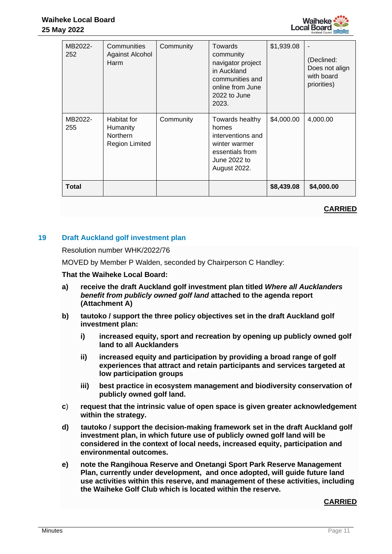

| MB2022-<br>252 | Communities<br>Against Alcohol<br>Harm                              | Community | Towards<br>community<br>navigator project<br>in Auckland<br>communities and<br>online from June<br>2022 to June<br>2023. | \$1,939.08 | (Declined:<br>Does not align<br>with board<br>priorities) |
|----------------|---------------------------------------------------------------------|-----------|--------------------------------------------------------------------------------------------------------------------------|------------|-----------------------------------------------------------|
| MB2022-<br>255 | Habitat for<br>Humanity<br><b>Northern</b><br><b>Region Limited</b> | Community | Towards healthy<br>homes<br>interventions and<br>winter warmer<br>essentials from<br>June 2022 to<br><b>August 2022.</b> | \$4,000.00 | 4,000.00                                                  |
| <b>Total</b>   |                                                                     |           |                                                                                                                          | \$8,439.08 | \$4,000.00                                                |

# **CARRIED**

# **19 Draft Auckland golf investment plan**

#### Resolution number WHK/2022/76

MOVED by Member P Walden, seconded by Chairperson C Handley:

## **That the Waiheke Local Board:**

- **a) receive the draft Auckland golf investment plan titled** *Where all Aucklanders benefit from publicly owned golf land* **attached to the agenda report (Attachment A)**
- **b) tautoko / support the three policy objectives set in the draft Auckland golf investment plan:**
	- **i) increased equity, sport and recreation by opening up publicly owned golf land to all Aucklanders**
	- **ii) increased equity and participation by providing a broad range of golf experiences that attract and retain participants and services targeted at low participation groups**
	- **iii) best practice in ecosystem management and biodiversity conservation of publicly owned golf land.**
- **c**) **request that the intrinsic value of open space is given greater acknowledgement within the strategy.**
- **d) tautoko / support the decision-making framework set in the draft Auckland golf investment plan, in which future use of publicly owned golf land will be considered in the context of local needs, increased equity, participation and environmental outcomes.**
- **e) note the Rangihoua Reserve and Onetangi Sport Park Reserve Management Plan, currently under development, and once adopted, will guide future land use activities within this reserve, and management of these activities, including the Waiheke Golf Club which is located within the reserve.**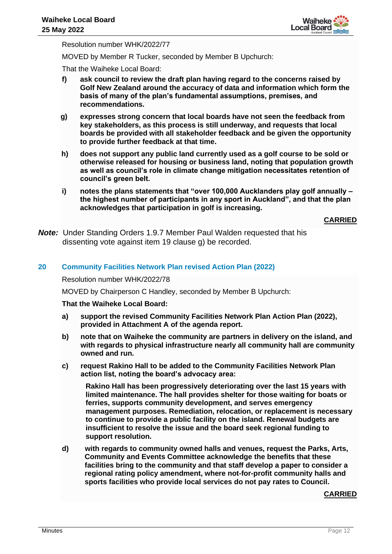

Resolution number WHK/2022/77

MOVED by Member R Tucker, seconded by Member B Upchurch:

That the Waiheke Local Board:

- **f) ask council to review the draft plan having regard to the concerns raised by Golf New Zealand around the accuracy of data and information which form the basis of many of the plan's fundamental assumptions, premises, and recommendations.**
- **g) expresses strong concern that local boards have not seen the feedback from key stakeholders, as this process is still underway, and requests that local boards be provided with all stakeholder feedback and be given the opportunity to provide further feedback at that time.**
- **h) does not support any public land currently used as a golf course to be sold or otherwise released for housing or business land, noting that population growth as well as council's role in climate change mitigation necessitates retention of council's green belt.**
- **i) notes the plans statements that "over 100,000 Aucklanders play golf annually – the highest number of participants in any sport in Auckland", and that the plan acknowledges that participation in golf is increasing.**

**CARRIED**

*Note:* Under Standing Orders 1.9.7 Member Paul Walden requested that his dissenting vote against item 19 clause g) be recorded.

## **20 Community Facilities Network Plan revised Action Plan (2022)**

Resolution number WHK/2022/78

MOVED by Chairperson C Handley, seconded by Member B Upchurch:

#### **That the Waiheke Local Board:**

- **a) support the revised Community Facilities Network Plan Action Plan (2022), provided in Attachment A of the agenda report.**
- **b) note that on Waiheke the community are partners in delivery on the island, and with regards to physical infrastructure nearly all community hall are community owned and run.**
- **c) request Rakino Hall to be added to the Community Facilities Network Plan action list, noting the board's advocacy area:**

**Rakino Hall has been progressively deteriorating over the last 15 years with limited maintenance. The hall provides shelter for those waiting for boats or ferries, supports community development, and serves emergency management purposes. Remediation, relocation, or replacement is necessary to continue to provide a public facility on the island. Renewal budgets are insufficient to resolve the issue and the board seek regional funding to support resolution.**

**d) with regards to community owned halls and venues, request the Parks, Arts, Community and Events Committee acknowledge the benefits that these facilities bring to the community and that staff develop a paper to consider a regional rating policy amendment, where not-for-profit community halls and sports facilities who provide local services do not pay rates to Council.**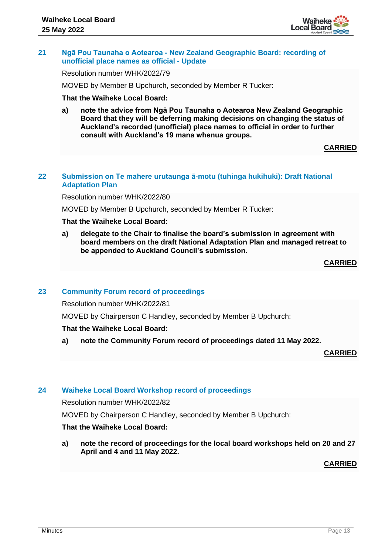

## **21 Ngā Pou Taunaha o Aotearoa - New Zealand Geographic Board: recording of unofficial place names as official - Update**

Resolution number WHK/2022/79

MOVED by Member B Upchurch, seconded by Member R Tucker:

## **That the Waiheke Local Board:**

**a) note the advice from Ngā Pou Taunaha o Aotearoa New Zealand Geographic Board that they will be deferring making decisions on changing the status of Auckland's recorded (unofficial) place names to official in order to further consult with Auckland's 19 mana whenua groups.**

## **CARRIED**

## **22 Submission on Te mahere urutaunga ā-motu (tuhinga hukihuki): Draft National Adaptation Plan**

Resolution number WHK/2022/80

MOVED by Member B Upchurch, seconded by Member R Tucker:

## **That the Waiheke Local Board:**

**a) delegate to the Chair to finalise the board's submission in agreement with board members on the draft National Adaptation Plan and managed retreat to be appended to Auckland Council's submission.** 

**CARRIED**

## **23 Community Forum record of proceedings**

Resolution number WHK/2022/81

MOVED by Chairperson C Handley, seconded by Member B Upchurch:

# **That the Waiheke Local Board:**

**a) note the Community Forum record of proceedings dated 11 May 2022.**

**CARRIED**

# **24 Waiheke Local Board Workshop record of proceedings**

Resolution number WHK/2022/82

MOVED by Chairperson C Handley, seconded by Member B Upchurch:

# **That the Waiheke Local Board:**

**a) note the record of proceedings for the local board workshops held on 20 and 27 April and 4 and 11 May 2022.**